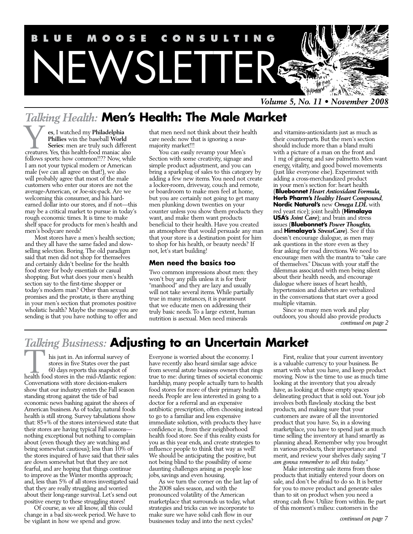

*Volume 5, No. 11 • November 2008*

## *Talking Health:* **Men's Health: The Male Market**

**es**, I watched my **Philadelphia Phillies** win the baseball **World Series**: men are truly such different **CREAT (SET)**<br>**EXECUTE:** The set of the baseball World<br>**Series:** men are truly such differer<br>creatures. Yes, this health-food maniac also follows sports: how common!!?? Now, while I am not your typical modern or American male (we can all agree on that!), we also will probably agree that most of the male customers who enter our stores are not the average-American, or Joe-six-pack. Are we welcoming this consumer, and his hardearned dollar into our stores, and if not—this may be a critical market to pursue in today's rough economic times. It is time to make shelf space for products for men's health and men's bodycare needs!

Most stores have a men's health section; and they all have the same faded and slowselling selection. Boring. The old paradigm said that men did not shop for themselves and certainly didn't beeline for the health food store for body essentials or casual shopping. But what does your men's health section say to the first-time shopper or today's modern man? Other than sexual promises and the prostate, is there anything in your men's section that promotes positive wholistic health? Maybe the message you are sending is that you have nothing to offer and

that men need not think about their health care needs: now that is ignoring a nearmajority market!!!

You can easily revamp your Men's Section with some creativity, signage and simple product adjustment, and you can bring a sparkplug of sales to this category by adding a few new items. You need not create a locker-room, driveway, couch and remote, or boardroom to make men feel at home, but you are certainly not going to get many men plunking down twenties on your counter unless you show them products they want, and make them want products beneficial to their health. Have you created an atmosphere that would persuade any man that your store is a destination point for him to shop for his health, or beauty needs? If not, let's start building!

#### **Men need the basics too**

Two common impressions about men: they won't buy any pills unless it is for their "manhood" and they are lazy and usually will not take several items. While partially true in many instances, it is paramount that we educate men on addressing their truly basic needs. To a large extent, human nutrition is asexual. Men need minerals

and vitamins-antioxidants just as much as their counterparts. But the men's section should include more than a bland multi with a picture of a man on the front and 1 mg of ginseng and saw palmetto. Men want energy, vitality, and good bowel movements (just like everyone else). Experiment with adding a cross-merchandized product in your men's section for: heart health (**Bluebonnet** *Heart Antioxidant Formula*, **Herb Pharm's** *Healthy Heart Compound*, **Nordic Natural's** new *Omega LDL* with red yeast rice); joint health (**Himalaya USA's** *Joint Care*); and brain and stress issues (**Bluebonnet's** *Power Thoughts,*  and **Himalaya's** *StressCare*). See if this doesn't encourage dialogue, as men may ask questions in the store even as they fear asking for road directions. We need to encourage men with the mantra to "take care of themselves." Discuss with your staff the dilemmas associated with men being silent about their health needs, and encourage dialogue where issues of heart health, hypertension and diabetes are verbalized in the conversations that start over a good multiple vitamin.

Since so many men work and play outdoors, you should also provide products *continued on page 2*

## *Talking Business:* **Adjusting to an Uncertain Market**

his just in. An informal survey of stores in five States over the past 60 days reports this snapshot of his just in. An informal survey of<br>stores in five States over the past<br>60 days reports this snapshot of<br>health food stores in the mid-Atlantic region: Conversations with store decision-makers show that our industry enters the Fall season standing strong against the tide of bad economic news bashing against the shores of American business. As of today, natural foods health is still strong. Survey tabulations show that: 85+% of the stores interviewed state that their stores are having typical Fall seasons nothing exceptional but nothing to complain about (even though they are watching and being somewhat cautious); less than 10% of the stores inquired of have said that their sales are down somewhat but that they are not fearful, and are hoping that things continue to improve as the Winter months approach; and, less than 5% of all stores investigated said that they are really struggling and worried about their long-range survival. Let's send out positive energy to these struggling stores!

Of course, as we all know, all this could change in a bad six-week period. We have to be vigilant in how we spend and grow.

Everyone is worried about the economy. I have recently also heard similar sage advice from several astute business owners that rings true to me: during times of societal economic hardship, many people actually turn to health food stores for more of their primary health needs. People are less interested in going to a doctor for a referral and an expensive antibiotic prescription, often choosing instead to go to a familiar and less expensive immediate solution, with products they have confidence in, from their neighborhood health food store. See if this reality exists for you as this year ends, and create strategies to influence people to think that way as well! We should be anticipating the positive, but not being blind to the possibility of some daunting challenges arising as people lose jobs, savings and even housing.

As we turn the corner on the last lap of the 2008 sales season, and with the pronounced volatility of the American marketplace that surrounds us today, what strategies and tricks can we incorporate to make sure we have solid cash flow in our businesses today and into the next cycles?

First, realize that your current inventory is a valuable currency to your business. Be smart with what you have, and keep product moving. Now is the time to use as much time looking at the inventory that you already have, as looking at those empty spaces delineating product that is sold out. Your job involves both flawlessly stocking the best products, and making sure that your customers are aware of all the inventoried product that you have. So, in a slowing marketplace, you have to spend just as much time selling the inventory at hand smartly as planning ahead. Remember why you brought in various products, their importance and merit, and review your shelves daily saying "*I am gonna remember to sell this today."*

Make interesting sale items from those products that initially entered your doors on sale, and don't be afraid to do so. It is better for you to move product and generate sales than to sit on product when you need a strong cash flow. Utilize from within. Be part of this moment's milieu: customers in the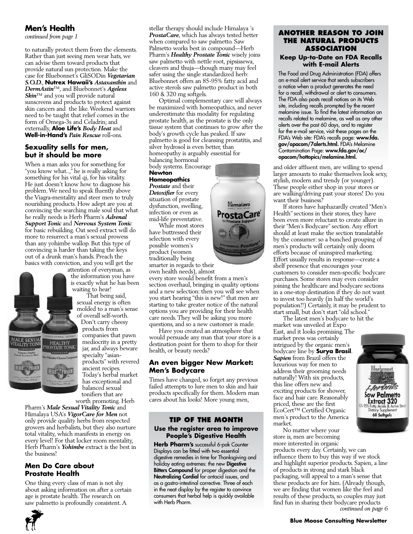#### **Men's Health**

*continued from page 1*

to naturally protect them from the elements. Rather than just seeing men wear hats, we can advise them toward products that provide natural sun protection. Make the case for Bluebonnet's GliSODin *Vegetarian S.O.D.*, **Nutrex Hawaii's** *Astaxanthin* and *DermAstin*™, and Bluebonnet's *Ageless*  **Skin™** and you will provide natural sunscreens and products to protect against skin cancers and the like. Weekend warriors need to be taught that relief comes in the form of Omega-3s and Celadrin; and externally, **Aloe Life's** *Body Heat* and **Well-in-Hand's** *Pain Rescue* roll-ons.

#### **Sexuality sells for men, but it should be more**

When a man asks you for something for "you know what..," he is really asking for something for his vital qi, for his vitality. He just doesn't know how to diagnose his problem. We need to speak fluently above the Viagra-mentality and steer men to truly nourishing products. How adept are you at convincing the searching male soul that what he really needs is Herb Pharm's *Adrenal Support Tonic* and *Nervous System Tonic* for basic rebuilding. Oat seed extract will do more to resurrect a man's sexual prowess than any yohimbe wallop. But this type of convincing is harder than taking the keys out of a drunk man's hands. Preach the basics with conviction, and you will get the

HEALTHY<br>ROSTATE TONIC

attention of everyman, as the information you have is exactly what he has been waiting to hear! That being said, sexual energy is often molded to a man's sense of overall self-worth. Don't carry cheesy products from companies that pawn mediocrity in a pretty jar, and always beware specialty "asianproducts" with revered ancient recipes. Today's herbal market has exceptional and balanced sexual tonifiers that are worth promoting. Herb

Pharm's *Male Sexual Vitality Tonic* and Himalaya USA's *VigorCare for Men* not only provide quality herbs from respected growers and herbalists, but they also nurture total vitality, which manifests in energy on every level! For that locker room mentality, Herb Pharm's *Yohimbe* extract is the best in the business!

#### **Men Do Care about Prostate Health**

One thing every class of man is not shy about asking information on after a certain age is prostate health. The research on saw palmetto is profoundly consistent. A

stellar therapy should include Himalaya 's *ProstaCare*, which has always tested better when compared to saw palmetto. Saw Palmetto works best in compound—Herb Pharm's *Healthy Prostate Tonic* wisely joins saw palmetto with nettle root, pipsissewa, cleavers and thuja—though many may feel safer using the single standardized herb: Bluebonnet offers an 85-95% fatty acid and active sterols saw palmetto product in both 160 & 320 mg softgels.

Optimal complementary care will always be maximized with homeopathics, and never underestimate this modality for regulating prostate health, as the prostate is the only tissue system that continues to grow after the body's growth cycle has peaked. If saw palmetto is good for cleansing prostatitis, and silver hydrosol is even better, than homeopathy is arguably essential for balancing hormonal

body systems. Encourage **Newton** 

#### **Homeopathics**

*Prostate* and their *Detoxifier* for every situation of prostate dysfunction, swelling, infection or even as mid-life preventative.

While most stores have buttressed their selection with every possible women's product (women traditionally being smarter in regards to their

own health needs), almost every store would benefit from a men's section overhaul, bringing in quality options and a new selection: then you will see when you start hearing "this is new!" that men are starting to take greater notice of the natural options you are providing for their health care needs. They will be asking you more questions, and so a new customer is made.

Have you created an atmosphere that would persuade any man that your store is a destination point for them to shop for their health, or beauty needs?

#### **An even bigger New Market: Men's Bodycare**

Times have changed, so forget any previous failed attempts to lure men to skin and hair products specifically for them. Modern man cares about his looks! More young men,

#### **Tip of the Month**

#### **Use the register area to improve People's Digestive Health**

**Herb Pharm's** successful 6-pak Counter Displays can be fitted with two essential digestive remedies in time for Thanksgiving and holiday eating extremes: the new Digestive Bitters Compound for proper digestion and the Neutralizing Cordial for antacid issues, and as a gastro-intestinal corrective. Three of each in the neat display by the register to convince consumers that herbal help is quickly available with Herb Pharm.



#### **Keep Up-to-Date on FDA Recalls with E-mail Alerts**

The Food and Drug Administration (FDA) offers an e-mail alert service that sends subscribers a notice when a product generates the need for a recall, withdrawal or alert to consumers. The FDA also posts recall notices on its Web site, including recalls prompted by the recent melamine issue. To find the latest information on recalls related to melamine, as well as any other alerts over the past 60 days, and to register for the e-mail service, visit these pages on the FDA's Web site: FDA's recalls page: www.fda. gov/opacom/7alerts.html. FDA's Melamine Contamination Page: www.fda.gov/oc/ opacom/hottopics/melamine.html.

and older affluent men, are willing to spend larger amounts to make themselves look sexy, stylish, modern and trendy (or younger). These people either shop in your stores or are walking/driving past your stores! Do you want their business?

If stores have haphazardly created "Men's Health" sections in their stores, they have been even more reluctant to create allure in their "Men's Bodycare" section. Any effort should at least make the section translatable by the consumer: so a bunched grouping of men's products will certainly only doom efforts because of uninspired marketing. Effort usually results in response—create a shelf presence that encourages your customers to consider men-specific bodycare purchases. Some stores may even consider joining the healthcare and bodycare sections in a one-stop destination if they do not want to invest too heavily (in half the world's population!!) Certainly, it may be prudent to start small, but don't start "old school."

The latest men's bodycare to hit the market was unveiled at Expo East, and it looks promising. The market press was certainly intrigued by the organic men's bodycare line by **Surya Brasil**. *Sapien* from Brazil offers the luxurious way for men to address their grooming needs naturally! With six products, this line offers new and exciting products for shower, face and hair care. Reasonably priced, these are the first EcoCert™ Certified Organic men's product to the America market.

No matter where your store is, men are becoming more interested in organic products every day. Certainly, we can influence them to buy this way if we stock and highlight superior products. Sapien, a line of products in strong and stark black packaging, will appeal to a man's sense that these products are for him. (Already though, we are finding that women like the feel and results of these products, so couples may just find fun in sharing their bodycare products *continued on page 6*

#### **Blue Moose Consulting Newsletter**





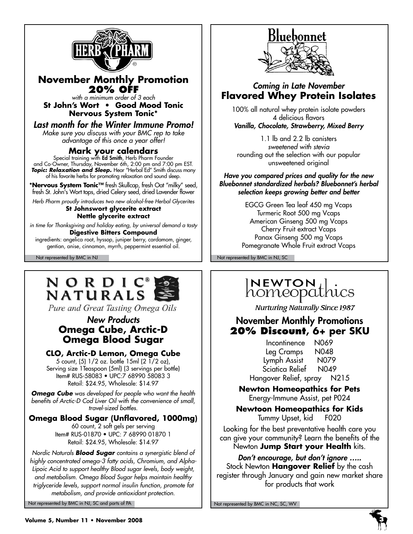

#### **November Monthly Promotion 20% off**

*with a minimum order of 3 each* **St John's Wort • Good Mood Tonic Nervous System Tonic\***

*Last month for the Winter Immune Promo! Make sure you discuss with your BMC rep to take advantage of this once a year offer!*

#### **Mark your calendars**

Special training with **Ed Smith**, Herb Pharm Founder and Co-Owner, Thursday, November 6th, 2:00 pm and 7:00 pm EST. *Topic: Relaxation and Sleep.* Hear "Herbal Ed" Smith discuss many of his favorite herbs for promoting relaxation and sound sleep.

**\*Nervous System Tonic™** fresh Skullcap, fresh Oat "milky" seed, fresh St. John's Wort tops, dried Celery seed, dried Lavender flower

*Herb Pharm proudly introduces two new alcohol-free Herbal Glycerites*

#### **St Johnswort glycerite extract Nettle glycerite extract**

*in time for Thanksgiving and holiday eating, by universal demand a tasty* **Digestive Bitters Compound**

ingredients: angelica root, hyssop, juniper berry, cardamom, ginger, gentian, anise, cinnamon, myrrh, peppermint essential oil.

## NORDIC **NATURALS**

Pure and Great Tasting Omega Oils

#### *New Products* **Omega Cube, Arctic-D Omega Blood Sugar**

#### **CLO, Arctic-D Lemon, Omega Cube**

5 count, (5) 1/2 oz. bottle 15ml (2 1/2 oz), Serving size 1Teaspoon (5ml) (3 servings per bottle) Item# RUS-58083 • UPC:7 68990 58083 3 Retail: \$24.95, Wholesale: \$14.97

*Omega Cube was developed for people who want the health benefits of Arctic-D Cod Liver Oil with the convenience of small, travel-sized bottles.*

#### **Omega Blood Sugar (Unflavored, 1000mg)** 60 count, 2 soft gels per serving Item# RUS-01870 • UPC: 7 68990 01870 1

Retail: \$24.95, Wholesale: \$14.97

*Nordic Naturals Blood Sugar contains a synergistic blend of highly concentrated omega-3 fatty acids, Chromium, and Alpha-Lipoic Acid to support healthy Blood sugar levels, body weight, and metabolism. Omega Blood Sugar helps maintain healthy triglyceride levels, support normal insulin function, promote fat metabolism, and provide antioxidant protection.*

Not represented by BMC in NJ, SC and parts of PA Not represented by BMC in NC, SC, WV



#### *Coming in Late November* **Flavored Whey Protein Isolates**

100% all natural whey protein isolate powders 4 delicious flavors *Vanilla, Chocolate, Strawberry, Mixed Berry*

1.1 lb and 2.2 lb canisters *sweetened with stevia* rounding out the selection with our popular unsweetened original

*Have you compared prices and quality for the new Bluebonnet standardized herbals? Bluebonnet's herbal selection keeps growing better and better* 

> EGCG Green Tea leaf 450 mg Vcaps Turmeric Root 500 mg Vcaps American Ginseng 500 mg Vcaps Cherry Fruit extract Vcaps Panax Ginseng 500 mg Vcaps Pomegranate Whole Fruit extract Vcaps

Not represented by BMC in NJ Not represented by BMC in NJ, SC

## INEWTON Lics

**Nurturing Naturally Since 1987** 

#### November Monthly Promotions **20% Discount, 6+ per SKU**

Incontinence N069 Leg Cramps N048 Lymph Assist N079 Sciatica Relief N049 Hangover Relief, spray N215

**Newton Homeopathics for Pets** Energy-Immune Assist, pet P024

**Newtoon Homeopathics for Kids** Tummy Upset, kid F020

Looking for the best preventative health care you can give your community? Learn the benefits of the Newton **Jump Start your Health** kits.

*Don't encourage, but don't ignore …..* Stock Newton **Hangover Relief** by the cash register through January and gain new market share for products that work

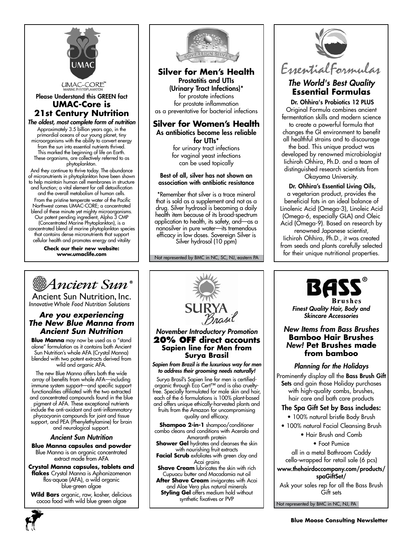

Please Understand this GREEN fact **UMAC-Core is 21st Century Nutrition**

#### *The oldest, most complete form of nutrition*

Approximately 3.5 billion years ago, in the primordial oceans of our young planet, tiny microorganisms with the ability to convert energy from the sun into essential nutrients thrived. This marked the beginning of life on Earth. These organisms, are collectively referred to as phytoplankton.

And they continue to thrive today. The abundance of micronutrients in phytoplankton have been shown to help maintain human cell membranes in structure and function; a vital element for cell detoxification and the overall metabolism of human cells. From the pristine temperate water of the Pacific Northwest comes UMAC-CORE; a concentrated blend of these minute yet mighty microorganisms. Our patent pending ingredient, Alpha 3 CMP (Concentrated Marine Phytoplankton), is a concentrated blend of marine phytoplankton species that contains dense micronutrients that support cellular health and promotes energy and vitality

> **Check our their new website: www.umaclife.com**



#### **Silver for Men's Health** Prostatitis and UTIs (Urinary Tract Infections)\* for prostate infections

for prostate inflammation as a preventative for bacterial infections

#### **Silver for Women's Health** As antibiotics become less reliable for UTIs\*

for urinary tract infections for vaginal yeast infections can be used topically

#### Best of all, silver has not shown an association with antibiotic resistance

\*Remember that silver is a trace mineral that is sold as a supplement and not as a drug. Silver hydrosol is becoming a daily health item because of its broad-spectrum application to health, its safety, and—as a nanosilver in pure water—its tremendous efficacy in low doses. Sovereign Silver is Silver hydrosol (10 ppm)

Not represented by BMC in NC, SC, NJ, eastern PA



#### *The World's Best Quality* **Essential Formulas**

 Dr. Ohhira's Probiotics 12 PLUS Original Formula combines ancient fermentation skills and modern science to create a powerful formula that changes the GI environment to benefit all healthful strains and to discourage the bad. This unique product was developed by renowned microbiologist Iichiroh Ohhira, Ph.D. and a team of

distinguished research scientists from Okayama University.

#### Dr. Ohhira's Essential Living Oils, a vegetarian product, provides the beneficial fats in an ideal balance of Linolenic Acid (Omega-3), Linoleic Acid (Omega-6, especially GLA) and Oleic Acid (Omega-9). Based on research by

renowned Japanese scientist, Iichiroh Ohhira, Ph.D., it was created from seeds and plants carefully selected for their unique nutritional properties.



*Finest Quality Hair, Body and Skincare Accessories*

#### *New Items from Bass Brushes* **Bamboo Hair Brushes** *New!* **Pet Brushes made from bamboo**

#### *Planning for the Holidays*

Prominently display all the Bass Brush Gift Sets and gain those Holiday purchases with high-quality combs, brushes, hair care and bath care products

#### The Spa Gift Set by Bass includes:

- 100% natural bristle Body Brush
- 100% natural Facial Cleansing Brush
	- Hair Brush and Comb

• Foot Pumice

all in a metal Bathroom Caddy cello-wrapped for retail sale (6 pcs)

#### www.thehairdoccompany.com/products/ spaGiftSet/

Ask your sales rep for all the Bass Brush Gift sets

Not represented by BMC in NC, NJ, PA



Ancient Sun Nutrition, Inc. *InnovativeWhole Food Nutrition Solutions*

#### *Are you experiencing The New Blue Manna from Ancient Sun Nutrition*

**Blue Manna** may now be used as a "stand alone" formulation as it contains both Ancient Sun Nutrition's whole AFA (Crystal Manna) blended with two potent extracts derived from wild and organic AFA.

The new Blue Manna offers both the wide array of benefits from whole AFA—including immune system support—and specific support functionalities affiliated with the two extracted and concentrated compounds found in the blue pigment of AFA. These exceptional nutrients include the anti-oxidant and anti-inflammatory phycocyanin compounds for joint and tissue support, and PEA (Phenylethylamine) for brain and neurological support.

#### *Ancient Sun Nutrition*

**Blue Manna capsules and powder** Blue Manna is an organic concentrated extract made from AFA

**Crystal Manna capsules, tablets and flakes** Crystal Manna is Aphanizomenon flos-aquae (AFA), a wild organic blue-green algae

**Wild Bars** organic, raw, kosher, delicious cocoa food with wild blue green algae





# *November Introductory Promotion*

#### **20% off direct accounts Sapien line for Men from Surya Brasil**

*Sapien from Brazil is the luxurious way for men to address their grooming needs naturally!*

Surya Brasil's Sapien line for men is certifiedorganic through Eco Cert™ and is also crueltyfree. Specially formulated for male skin and hair, each of the 6 formulations is 100% plant-based and offers unique ethically-harvested plants and fruits from the Amazon for uncompromising

quality and efficacy.

**Shampoo 2-in-1** shampoo/conditioner combo cleans and conditions with Acerola and Amaranth protein

**Shower Gel** hydrates and cleanses the skin with nourishing fruit extracts **Facial Scrub** exfoliates with green clay and

Acai grains **Shave Cream** lubricates the skin with rich Cupuacu butter and Macadamia nut oil **After Shave Cream** invigorates with Acai

and Aloe Vera plus natural minerals **Styling Gel** offers medium hold without synthetic fixatives or PVP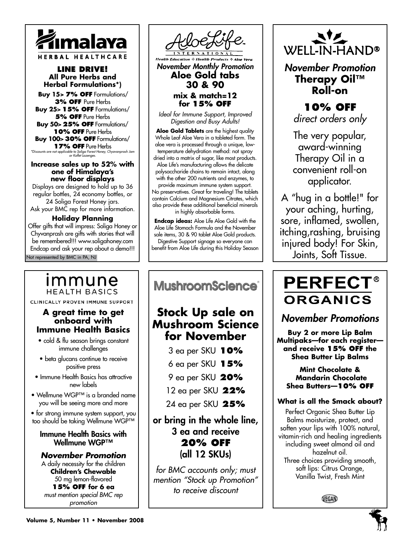

**Line drive! All Pure Herbs and Herbal Formulations\*)**

**Buy 15> 7% off** Formulations/ **3% off** Pure Herbs **Buy 25**> **15% off** Formulations/ **5% off** Pure Herbs **Buy 50**> **25% off** Formulations/ **10% off** Pure Herbs **Buy 100**> **30% off** Formulations/ **17% off** Pure Herbs *\*Discounts are not applicable to Soliga Forest Honey, Chyavanprash Jam or Koflet Lozenges.* 

**Increase sales up to 52% with** 

**one of Himalaya's new floor displays**

Displays are designed to hold up to 36 regular bottles, 24 economy bottles, or 24 Soliga Forest Honey jars. Ask your BMC rep for more information.

#### **Holiday Planning**

Not represented by BMC in PA, NJ Offer gifts that will impress: Soliga Honey or Chyvanprash are gifts with stories that will be remembered!!! www.soligahoney.com Endcap and ask your rep about a demo!!!

#### immune **HEALTH BASICS**

CLINICALLY PROVEN IMMUNE SUPPORT

#### **A great time to get onboard with Immune Health Basics**

- cold & flu season brings constant immune challenges
- beta glucans continue to receive positive press
- Immune Health Basics has attractive new labels
- Wellmune WGP™ is a branded name you will be seeing more and more

• for strong immune system support, you too should be taking Wellmune WGP™

#### Immune Health Basics with Wellmune WGP™

*November Promotion*

A daily necessity for the children **Children's Chewable** 50 mg lemon-flavored **15% off for 6 ea** *must mention special BMC rep promotion*



#### **mix & match=12 for 15% off**

*Ideal for Immune Support, Improved Digestion and Busy Adults!*

**Aloe Gold Tablets** are the highest quality Whole Leaf Aloe Vera in a tableted form. The aloe vera is processed through a unique, lowtemperature dehydration method: not spray dried into a matrix of sugar, like most products. Aloe Life's manufacturing allows the delicate polysaccharide chains to remain intact, along with the other 200 nutrients and enzymes, to provide maximum immune system support. No preservatives. Great for traveling! The tablets contain Calcium and Magnesium Citrates, which also provide these additional beneficial minerals in highly absorbable forms.

**Endcap ideas:** Aloe Life Aloe Gold with the Aloe Life Stomach Formula and the November sale items, 30 & 90 tablet Aloe Gold products. Digestive Support signage so everyone can

benefit from Aloe Life during this Holiday Season

Ι **MushroomScience®** 

### **Stock Up sale on Mushroom Science for November**

3 ea per SKU **10%**

- 6 ea per SKU **15%**
- 9 ea per SKU **20%**
- 12 ea per SKU **22%**

24 ea per SKU **25%**

#### or bring in the whole line, 3 ea and receive **20% off** (all 12 SKUs)

*for BMC accounts only; must mention "Stock up Promotion" to receive discount*



*November Promotion* **Therapy Oil™ Roll-on**

#### **10% off** *direct orders only*

The very popular, award-winning Therapy Oil in a convenient roll-on applicator.

A "hug in a bottle!" for your aching, hurting, sore, inflamed, swollen, itching,rashing, bruising injured body! For Skin, Joints, Soft Tissue.

## **PERFECT® ORGANICS**

*November Promotions*

**Buy 2 or more Lip Balm Multipaks—for each register and receive 15% OFF the Shea Butter Lip Balms**

**Mint Chocolate & Mandarin Chocolate Shea Butters—10% off**

#### **What is all the Smack about?**

Perfect Organic Shea Butter Lip Balms moisturize, protect, and soften your lips with 100% natural, vitamin-rich and healing ingredients including sweet almond oil and hazelnut oil. Three choices providing smooth, soft lips: Citrus Orange, Vanilla Twist, Fresh Mint

```
VEGAN
```
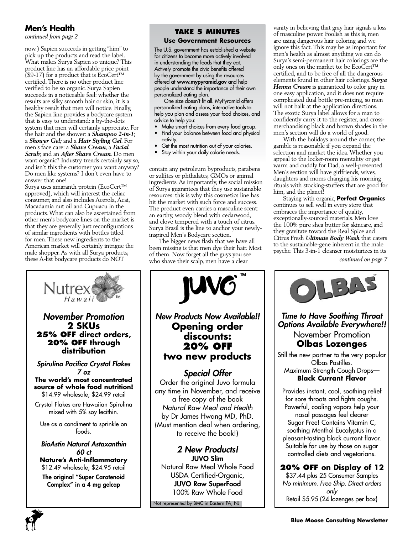#### **Men's Health**

*continued from page 2*

now.) Sapien succeeds in getting "him" to pick up the products and read the label. What makes Surya Sapien so unique? This product line has an affordable price point (\$9-17) for a product that is EcoCert™ certified. There is no other product line verified to be so organic. Surya Sapien succeeds in a noticeable feel: whether the results are silky smooth hair or skin, it is a healthy result that men will notice. Finally, the Sapien line provides a bodycare system that is easy to understand: a by-the-dots system that men will certainly appreciate. For the hair and the shower: a *Shampoo 2-in-1*; a *Shower Gel;* and a *Hair Styling Gel*. For men's face care: a *Shave Cream*, a *Facial Scrub*; and an *After Shave Cream*. Do men want organic? Industry trends certainly say so, and isn't this the customer you want anyway? Do men like systems? I don't even have to answer that one!

Surya uses amaranth protein (EcoCert™ approved), which will interest the celiac consumer, and also includes Acerola, Acai, Macadamia nut oil and Cupuacu in the products. What can also be ascertained from other men's bodycare lines on the market is that they are generally just reconfigurations of similar ingredients with bottles titled for men. These new ingredients to the American market will certainly intrigue the male shopper. As with all Surya products, these A-list bodycare products do NOT

**2 SKUs**

Hawaii

**Nutrex** 

**distribution**

*7 oz*

foods.

*60 ct*

#### **Take 5 Minutes**

#### **Use Government Resources**

The U.S. government has established a website for citizens to become more actively involved in understanding the foods that they eat. Actively promote the civic benefits offered by the government by using the resources offered at **www.mypyramid.gov** and help people understand the importance of their own personalized eating plan.

One size doesn't fit all. MyPyramid offers personalized eating plans, interactive tools to help you plan and assess your food choices, and advice to help you:

- Make smart choices from every food group. • Find your balance between food and physical
	- activity.
- Get the most nutrition out of your calories.
- Stay within your daily calorie needs.

contain any petroleum byproducts, parabens or sulfites or phthalates, GMOs or animal ingredients. As importantly, the social mission of Surya guarantees that they use sustainable resources: this is why this cosmetics line has hit the market with such force and success. The product even carries a masculine scent: an earthy, woody blend with cedarwood, and clove tempered with a touch of citrus. Surya Brasil is the line to anchor your newlyinspired Men's Bodycare section.

The bigger news flash that we have all been missing is that men dye their hair. Most of them. Now forget all the guys you see who shave their scalp, men have a clear



Not represented by BMC in Eastern PA, NJ

vanity in believing that gray hair signals a loss of masculine power. Foolish as this is, men are using dangerous hair coloring and we ignore this fact. This may be as important for men's health as almost anything we can do. Surya's semi-permanent hair colorings are the only ones on the market to: be EcoCert™ certified, and to be free of all the dangerous elements found in other hair colorings. *Surya Henna Cream* is guaranteed to color gray in one easy application, and it does not require complicated dual bottle pre-mixing, so men will not balk at the application directions. The exotic Surya label allows for a man to confidently carry it to the register, and crossmerchandising black and brown shades in the men's section will do a world of good.

With the holidays around the corner, the gamble is reasonable if you expand the selection and market the idea. Whether you appeal to the locker-room mentality or get warm and cuddly for Dad, a well-presented Men's section will have girlfriends, wives, daughters and moms changing his morning rituals with stocking-stuffers that are good for him, and the planet!

Staying with organic, **Perfect Organics** continues to sell well in every store that embraces the importance of quality, exceptionally-sourced materials. Men love the 100% pure shea butter for skincare, and they gravitate toward the Real Spice and Citrus Fresh *Ultimate Body Wash* that caters to the sustainable-gene inherent in the male psyche. This 3-in-1 cleanser moisturizes in its

*Time to Have Soothing Throat Options Available Everywhere!!* November Promotion **Olbas Lozenges** Still the new partner to the very popular Olbas Pastilles. Maximum Strength Cough Drops— **Black Currant Flavor**

1345

Provides instant, cool, soothing relief for sore throats and fights coughs. Powerful, cooling vapors help your nasal passages feel clearer Sugar Free! Contains Vitamin C, soothing Menthol Eucalyptus in a pleasant-tasting black currant flavor. Suitable for use by those on sugar controlled diets and vegetarians. **20% off on Display of 12** \$37.44 plus 25 Consumer Samples *No minimum. Free Ship. Direct orders only* Retail \$5.95 (24 lozenges per box)

*continued on page 7*



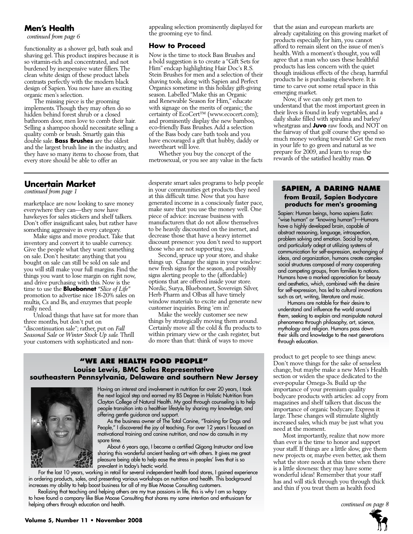#### **Men's Health**

*continued from page 6*

functionality as a shower gel, bath soak and shaving gel. This product inspires because it is so vitamin-rich and concentrated, and not burdened by inexpensive water fillers. The clean white design of these product labels contrasts perfectly with the modern black design of Sapien. You now have an exciting organic men's selection.

The missing piece is the grooming implements. Though they may often do so hidden behind forest shrub or a closed bathroom door, men love to comb their hair. Selling a shampoo should necessitate selling a quality comb or brush. Smartly gain this double sale. **Bass Brushes** are the oldest and the largest brush line in the industry, and they have so many items to choose from, that every store should be able to offer an

#### **Uncertain Market**

marketplace are now looking to save money everywhere they can—they now have hawkeyes for sales stickers and shelf talkers. Don't offer insignificant sales, but rather have something aggressive in every category.

Make signs and move product. Take that inventory and convert it to usable currency. Give the people what they want: something on sale. Don't hesitate: anything that you bought on sale can still be sold on sale and you will still make your full margins. Find the things you want to lose margin on right now, and drive purchasing with this. Now is the time to use the **Bluebonnet** *"Slice of Life"*  promotion to advertise nice 18-20% sales on multis, Cs and Bs, and enzymes that people really need.

Unload things that have sat for more than three months, but don't put on "discontinuation sale"; rather, put on *Fall Seasonal Sale* or *Winter Stock Up sale.* Thrill your customers with sophisticated and nonappealing selection prominently displayed for the grooming eye to find.

#### **How to Proceed**

Now is the time to stock Bass Brushes and a bold suggestion is to create a "Gift Sets for Him" endcap highlighting Hair Doc's R.S. Stein Brushes for men and a selection of their shaving tools, along with Sapien and Perfect Organics sometime in this holiday gift-giving season. Labelled "Make this an Organic and Renewable Season for Him," educate with signage on the merits of organic; the certainty of EcoCert™ (www.ecocert.com); and prominently display the new bamboo, eco-friendly Bass Brushes. Add a selection of the Bass body care bath tools and you have encouraged a gift that hubby, daddy or sweetheart will love.

Whether you buy the concept of the metrosexual, or you see any value in the facts

desperate smart sales programs to help people **EXECTMENT MUNICIPY OF THE SAPIEN, A DARING NAME** *continued from page 1* **SAPIEN, A DARING NAME** at this difficult time. Now that you have generated income in a consciously faster pace, make sure that you use the money well. One piece of advice: increase business with manufacturers that do not allow themselves to be heavily discounted on the inernet, and decrease those that have a heavy internet discount presence: you don't need to support those who are not supporting you.

Second, spruce up your store, and shake things up. Change the signs in your window: new fresh signs for the season, and possibly signs alerting people to the (affordable) options that are offered inside your store. Nordic, Surya, Bluebonnet, Sovereign Silver, Herb Pharm and Olbas all have timely window materials to excite and generate new customer inquiries. Bring 'em in!

Make the weekly customer see new things by strategically moving them around. Certainly move all the cold & flu products to within primary view or the cash register, but do more than that: think of ways to move

#### **"We Are health food people" Louise Lewis, BMC Sales Representative southeastern Pennsylvania, Delaware and southern New Jersey**



Having an interest and involvement in nutrition for over 20 years, I took the next logical step and earned my BS Degree in Holistic Nutrition from Clayton College of Natural Health. My goal through counseling is to help people transition into a healthier lifestyle by sharing my knowledge, and offering gentle guidance and support.

As the business owner of The Total Canine, "Training for Dogs and People," I discovered the joy of teaching. For over 12 years I focused on motivational training and canine nutrition, and now do consults in my spare time.

About 6 years ago, I became a certified Qigong Instructor and love sharing this wonderful ancient healing art with others. It gives me great pleasure being able to help ease the stress in peoples' lives that is so prevalent in today's hectic world.

For the last 10 years, working in retail for several independent health food stores, I gained experience in ordering products, sales, and presenting various workshops on nutrition and health. This background increases my ability to help boost business for all of my Blue Moose Consulting customers.

 Realizing that teaching and helping others are my true passions in life, this is why I am so happy to have found a company like Blue Moose Consulting that shares my same intention and enthusiasm for helping others through education and health. *continued on page 8*

that the asian and european markets are already capitalizing on this growing market of products especially for him, you cannot afford to remain silent on the issue of men's health. With a moment's thought, you will agree that a man who uses these healthful products has less concern with the quiet though insidious effects of the cheap, harmful products he is purchasing elsewhere. It is time to carve out some retail space in this emerging market.

Now, if we can only get men to understand that the most important green in their lives is found in leafy vegetables, and a daily shake filled with spirulina and barley/ wheatgrass and **Juvo** raw foods, and NOT on the fairway of that golf course they spend so much money working towards! Get the men in your life to go green and natural as we prepare for 2009, and learn to reap the rewards of the satisfied healthy man.  $\bullet$ 

#### **from Brazil, Sapien Bodycare products for men's grooming**

Sapien: Human beings, homo sapiens (Latin: "wise human" or "knowing human")—Humans have a highly developed brain, capable of abstract reasoning, language, introspection, problem solving and emotion. Social by nature, and particularly adept at utilizing systems of communication for self-expression, exchanging of ideas, and organization, humans create complex social structures composed of many cooperating and competing groups, from families to nations. Humans have a marked appreciation for beauty and aesthetics, which, combined with the desire for self-expression, has led to cultural innovations such as art, writing, literature and music.

Humans are notable for their desire to understand and influence the world around them, seeking to explain and manipulate natural phenomena through philosophy, art, science, mythology and religion. Humans pass down their skills and knowledge to the next generations through education.

product to get people to see things anew. Don't move things for the sake of senseless change, but maybe make a new Men's Health section or widen the space dedicated to the ever-popular Omega-3s. Build up the importance of your premium quality bodycare products with articles: ad copy from magazines and shelf talkers that discuss the importance of organic bodycare. Express it large. These changes will stimulate slightly increased sales, which may be just what you need at the moment.

Most importantly, realize that now more than ever is the time to honor and support your staff. If things are a little slow, give them new projects or, maybe even better, ask them what the store needs at this time when there is a little slowness: they may have some wonderful ideas! Remember that your staff has and will stick through you through thick and thin if you treat them as health food